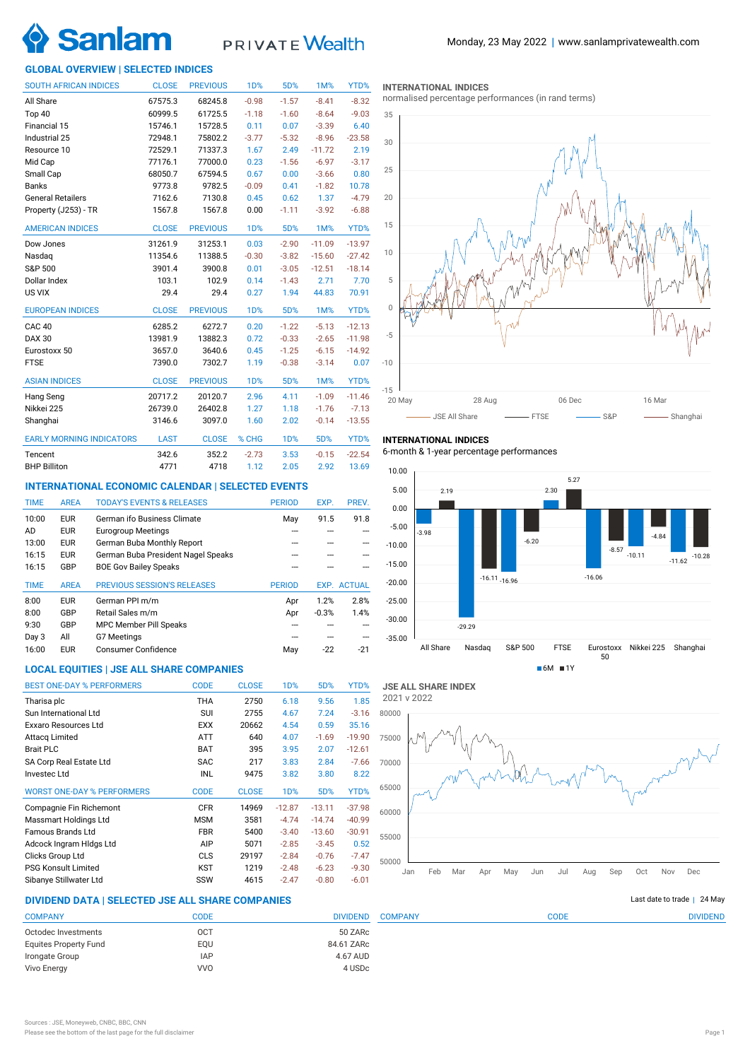

# PRIVATE Wealth

### **GLOBAL OVERVIEW | SELECTED INDICES**

| <b>SOUTH AFRICAN INDICES</b>    | <b>CLOSE</b> | <b>PREVIOUS</b> | 1D%              | 5D%        | <b>1M%</b> | YTD%     |
|---------------------------------|--------------|-----------------|------------------|------------|------------|----------|
| All Share                       | 67575.3      | 68245.8         | $-0.98$          | $-1.57$    | $-8.41$    | $-8.32$  |
| Top 40                          | 60999.5      | 61725.5         | $-1.18$          | $-1.60$    | $-8.64$    | $-9.03$  |
| Financial 15                    | 15746.1      | 15728.5         | 0.11             | 0.07       | $-3.39$    | 6.40     |
| Industrial 25                   | 72948.1      | 75802.2         | $-3.77$          | $-5.32$    | $-8.96$    | $-23.58$ |
| Resource 10                     | 72529.1      | 71337.3         | 1.67             | 2.49       | $-11.72$   | 2.19     |
| Mid Cap                         | 77176.1      | 77000.0         | 0.23             | $-1.56$    | $-6.97$    | $-3.17$  |
| Small Cap                       | 68050.7      | 67594.5         | 0.67             | 0.00       | $-3.66$    | 0.80     |
| <b>Banks</b>                    | 9773.8       | 9782.5          | $-0.09$          | 0.41       | $-1.82$    | 10.78    |
| <b>General Retailers</b>        | 7162.6       | 7130.8          | 0.45             | 0.62       | 1.37       | $-4.79$  |
| Property (J253) - TR            | 1567.8       | 1567.8          | 0.00             | $-1.11$    | $-3.92$    | $-6.88$  |
| <b>AMERICAN INDICES</b>         | <b>CLOSE</b> | <b>PREVIOUS</b> | 1 <sub>D</sub> % | 5D%        | 1M%        | YTD%     |
| Dow Jones                       | 31261.9      | 31253.1         | 0.03             | $-2.90$    | $-11.09$   | $-13.97$ |
| Nasdaq                          | 11354.6      | 11388.5         | $-0.30$          | $-3.82$    | $-15.60$   | $-27.42$ |
| S&P 500                         | 3901.4       | 3900.8          | 0.01             | $-3.05$    | $-12.51$   | $-18.14$ |
| Dollar Index                    | 103.1        | 102.9           | 0.14             | $-1.43$    | 2.71       | 7.70     |
| US VIX                          | 29.4         | 29.4            | 0.27             | 1.94       | 44.83      | 70.91    |
| <b>EUROPEAN INDICES</b>         | <b>CLOSE</b> | <b>PREVIOUS</b> | 1 <sub>D</sub> % | 5D%        | 1M%        | YTD%     |
| CAC <sub>40</sub>               | 6285.2       | 6272.7          | 0.20             | $-1.22$    | $-5.13$    | $-12.13$ |
| <b>DAX 30</b>                   | 13981.9      | 13882.3         | 0.72             | $-0.33$    | $-2.65$    | $-11.98$ |
| Eurostoxx 50                    | 3657.0       | 3640.6          | 0.45             | $-1.25$    | $-6.15$    | $-14.92$ |
| <b>FTSE</b>                     | 7390.0       | 7302.7          | 1.19             | $-0.38$    | $-3.14$    | 0.07     |
| <b>ASIAN INDICES</b>            | <b>CLOSE</b> | <b>PREVIOUS</b> | <b>1D%</b>       | 5D%        | 1M%        | YTD%     |
| Hang Seng                       | 20717.2      | 20120.7         | 2.96             | 4.11       | $-1.09$    | $-11.46$ |
| Nikkei 225                      | 26739.0      | 26402.8         | 1.27             | 1.18       | $-1.76$    | $-7.13$  |
| Shanghai                        | 3146.6       | 3097.0          | 1.60             | 2.02       | $-0.14$    | $-13.55$ |
| <b>EARLY MORNING INDICATORS</b> | <b>LAST</b>  | <b>CLOSE</b>    | % CHG            | <b>1D%</b> | 5D%        | YTD%     |
| Tencent                         | 342.6        | 352.2           | $-2.73$          | 3.53       | $-0.15$    | $-22.54$ |
| <b>BHP Billiton</b>             | 4771         | 4718            | 1.12             | 2.05       | 2.92       | 13.69    |

### **INTERNATIONAL ECONOMIC CALENDAR | SELECTED EVENTS**

| <b>TIME</b> | <b>AREA</b> | <b>TODAY'S EVENTS &amp; RELEASES</b> | <b>PERIOD</b> | EXP.    | PREV.              |
|-------------|-------------|--------------------------------------|---------------|---------|--------------------|
| 10:00       | <b>EUR</b>  | German ifo Business Climate          | May           | 91.5    | 91.8               |
| AD          | <b>EUR</b>  | <b>Eurogroup Meetings</b>            |               |         |                    |
| 13:00       | <b>EUR</b>  | German Buba Monthly Report           |               |         |                    |
| 16:15       | <b>EUR</b>  | German Buba President Nagel Speaks   |               |         |                    |
| 16:15       | GBP         | <b>BOE Gov Bailey Speaks</b>         |               |         |                    |
|             |             |                                      |               |         |                    |
| <b>TIME</b> | <b>AREA</b> | <b>PREVIOUS SESSION'S RELEASES</b>   | <b>PERIOD</b> |         | <b>EXP. ACTUAL</b> |
| 8:00        | <b>EUR</b>  | German PPI m/m                       | Apr           | 1.2%    | 2.8%               |
| 8:00        | GBP         | Retail Sales m/m                     | Apr           | $-0.3%$ | 1.4%               |
| 9:30        | GBP         | <b>MPC Member Pill Speaks</b>        |               |         |                    |
| Day 3       | All         | G7 Meetings                          |               |         |                    |
| 16:00       | <b>EUR</b>  | Consumer Confidence                  | May           | $-22$   | $-21$              |

# **LOCAL EQUITIES | JSE ALL SHARE COMPANIES**

| <b>BEST ONE-DAY % PERFORMERS</b>  | <b>CODE</b> | <b>CLOSE</b> | 1 <sub>D</sub> % | 5D%      | YTD%     |
|-----------------------------------|-------------|--------------|------------------|----------|----------|
| Tharisa plc                       | THA         | 2750         | 6.18             | 9.56     | 1.85     |
| Sun International Ltd             | SUI         | 2755         | 4.67             | 7.24     | $-3.16$  |
| Exxaro Resources Ltd              | <b>EXX</b>  | 20662        | 4.54             | 0.59     | 35.16    |
| <b>Attacq Limited</b>             | <b>ATT</b>  | 640          | 4.07             | $-1.69$  | $-19.90$ |
| <b>Brait PLC</b>                  | <b>BAT</b>  | 395          | 3.95             | 2.07     | $-12.61$ |
| SA Corp Real Estate Ltd           | <b>SAC</b>  | 217          | 3.83             | 2.84     | $-7.66$  |
| Investec Ltd                      | INL         | 9475         | 3.82             | 3.80     | 8.22     |
| <b>WORST ONE-DAY % PERFORMERS</b> | <b>CODE</b> | <b>CLOSE</b> | 1 <sub>D</sub> % | 5D%      | YTD%     |
| Compagnie Fin Richemont           | <b>CFR</b>  | 14969        | $-12.87$         | $-13.11$ | $-37.98$ |
| Massmart Holdings Ltd             | <b>MSM</b>  | 3581         | $-4.74$          | $-14.74$ | $-40.99$ |
| <b>Famous Brands Ltd</b>          | <b>FBR</b>  | 5400         | $-3.40$          | $-13.60$ | $-30.91$ |
| Adcock Ingram Hidgs Ltd           | AIP         | 5071         | $-2.85$          | $-3.45$  | 0.52     |
| Clicks Group Ltd                  | <b>CLS</b>  | 29197        | $-2.84$          | $-0.76$  | $-7.47$  |
| <b>PSG Konsult Limited</b>        | <b>KST</b>  | 1219         | $-2.48$          | $-6.23$  | $-9.30$  |
| Sibanye Stillwater Ltd            | SSW         | 4615         | $-2.47$          | $-0.80$  | $-6.01$  |

### **INTERNATIONAL INDICES**

normalised percentage performances (in rand terms)



# **INTERNATIONAL INDICES**

6-month & 1-year percentage performances





# **DIVIDEND DATA | SELECTED JSE ALL SHARE COMPANIES |**

|            | <b>DIVIDEND</b> |
|------------|-----------------|
| OCT        | 50 ZARc         |
| EOU        | 84.61 ZARc      |
| <b>IAP</b> | 4.67 AUD        |
| <b>VVO</b> | 4 USDc          |
|            | CODE            |

Last date to trade  $|$  24 May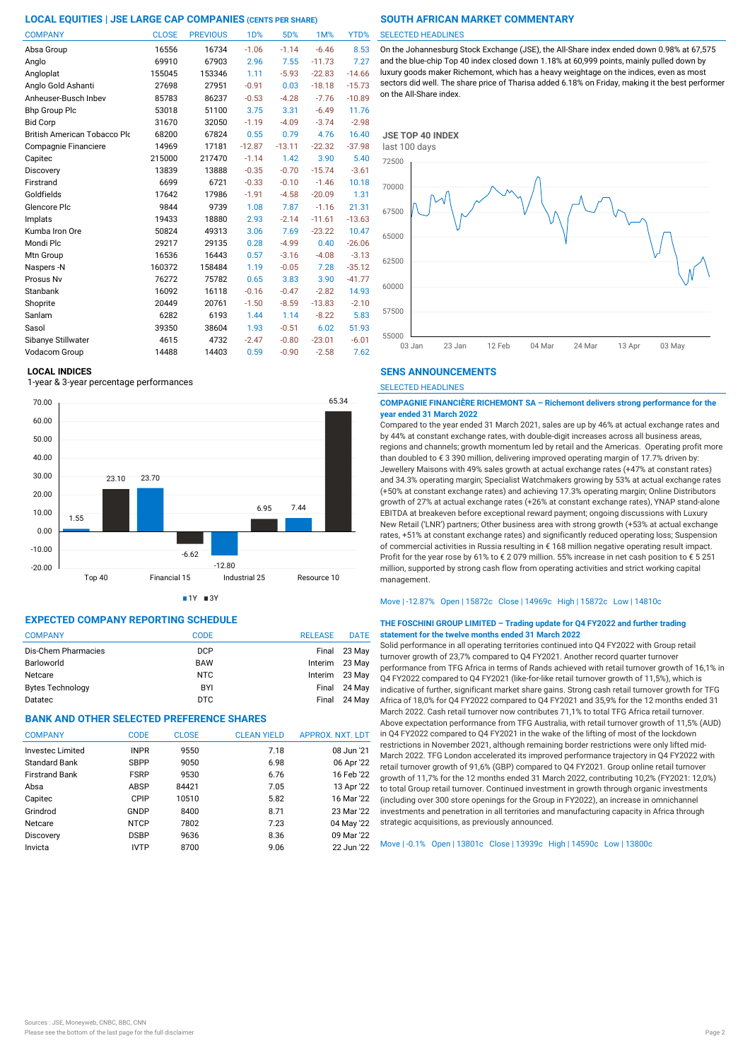| <b>COMPANY</b>                      | <b>CLOSE</b> | <b>PREVIOUS</b> | <b>1D%</b> | 5D%      | <b>1M%</b> | YTD%     |
|-------------------------------------|--------------|-----------------|------------|----------|------------|----------|
| Absa Group                          | 16556        | 16734           | $-1.06$    | $-1.14$  | $-6.46$    | 8.53     |
| Anglo                               | 69910        | 67903           | 2.96       | 7.55     | $-11.73$   | 7.27     |
| Angloplat                           | 155045       | 153346          | 1.11       | $-5.93$  | $-22.83$   | $-14.66$ |
| Anglo Gold Ashanti                  | 27698        | 27951           | $-0.91$    | 0.03     | $-18.18$   | $-15.73$ |
| Anheuser-Busch Inbev                | 85783        | 86237           | $-0.53$    | $-4.28$  | $-7.76$    | $-10.89$ |
| <b>Bhp Group Plc</b>                | 53018        | 51100           | 3.75       | 3.31     | $-6.49$    | 11.76    |
| <b>Bid Corp</b>                     | 31670        | 32050           | $-1.19$    | $-4.09$  | $-3.74$    | $-2.98$  |
| <b>British American Tobacco Plo</b> | 68200        | 67824           | 0.55       | 0.79     | 4.76       | 16.40    |
| Compagnie Financiere                | 14969        | 17181           | $-12.87$   | $-13.11$ | $-22.32$   | $-37.98$ |
| Capitec                             | 215000       | 217470          | $-1.14$    | 1.42     | 3.90       | 5.40     |
| Discovery                           | 13839        | 13888           | $-0.35$    | $-0.70$  | $-15.74$   | $-3.61$  |
| Firstrand                           | 6699         | 6721            | $-0.33$    | $-0.10$  | $-1.46$    | 10.18    |
| Goldfields                          | 17642        | 17986           | $-1.91$    | $-4.58$  | $-20.09$   | 1.31     |
| Glencore Plc                        | 9844         | 9739            | 1.08       | 7.87     | $-1.16$    | 21.31    |
| Implats                             | 19433        | 18880           | 2.93       | $-2.14$  | $-11.61$   | $-13.63$ |
| Kumba Iron Ore                      | 50824        | 49313           | 3.06       | 7.69     | $-23.22$   | 10.47    |
| Mondi Plc                           | 29217        | 29135           | 0.28       | $-4.99$  | 0.40       | $-26.06$ |
| Mtn Group                           | 16536        | 16443           | 0.57       | $-3.16$  | $-4.08$    | $-3.13$  |
| Naspers -N                          | 160372       | 158484          | 1.19       | $-0.05$  | 7.28       | $-35.12$ |
| Prosus Nv                           | 76272        | 75782           | 0.65       | 3.83     | 3.90       | $-41.77$ |
| Stanbank                            | 16092        | 16118           | $-0.16$    | $-0.47$  | $-2.82$    | 14.93    |
| Shoprite                            | 20449        | 20761           | $-1.50$    | $-8.59$  | $-13.83$   | $-2.10$  |
| Sanlam                              | 6282         | 6193            | 1.44       | 1.14     | $-8.22$    | 5.83     |
| Sasol                               | 39350        | 38604           | 1.93       | $-0.51$  | 6.02       | 51.93    |
| Sibanye Stillwater                  | 4615         | 4732            | $-2.47$    | $-0.80$  | $-23.01$   | $-6.01$  |
| Vodacom Group                       | 14488        | 14403           | 0.59       | $-0.90$  | $-2.58$    | 7.62     |

### **LOCAL INDICES**

1-year & 3-year percentage performances





# **EXPECTED COMPANY REPORTING SCHEDULE**

| <b>COMPANY</b>          | <b>CODE</b> | <b>RELEASE</b> | <b>DATE</b>    |
|-------------------------|-------------|----------------|----------------|
| Dis-Chem Pharmacies     | <b>DCP</b>  |                | Final 23 May   |
| Barloworld              | <b>BAW</b>  |                | Interim 23 May |
| Netcare                 | NTC.        |                | Interim 23 May |
| <b>Bytes Technology</b> | BYI         |                | Final 24 May   |
| Datatec                 | DTC         | Final          | 24 Mav         |

# **BANK AND OTHER SELECTED PREFERENCE SHARES**

| <b>COMPANY</b>          | <b>CODE</b> | <b>CLOSE</b> | <b>CLEAN YIELD</b> | APPROX. NXT. LDT |
|-------------------------|-------------|--------------|--------------------|------------------|
| <b>Investec Limited</b> | <b>INPR</b> | 9550         | 7.18               | 08 Jun '21       |
| <b>Standard Bank</b>    | <b>SBPP</b> | 9050         | 6.98               | 06 Apr '22       |
| <b>Firstrand Bank</b>   | <b>FSRP</b> | 9530         | 6.76               | 16 Feb '22       |
| Absa                    | ABSP        | 84421        | 7.05               | 13 Apr '22       |
| Capitec                 | CPIP        | 10510        | 5.82               | 16 Mar '22       |
| Grindrod                | GNDP        | 8400         | 8.71               | 23 Mar '22       |
| Netcare                 | <b>NTCP</b> | 7802         | 7.23               | 04 May '22       |
| Discovery               | <b>DSBP</b> | 9636         | 8.36               | 09 Mar '22       |
| Invicta                 | <b>IVTP</b> | 8700         | 9.06               | 22 Jun '22       |
|                         |             |              |                    |                  |

### SELECTED HEADLINES

On the Johannesburg Stock Exchange (JSE), the All-Share index ended down 0.98% at 67,575 and the blue-chip Top 40 index closed down 1.18% at 60,999 points, mainly pulled down by luxury goods maker Richemont, which has a heavy weightage on the indices, even as most sectors did well. The share price of Tharisa added 6.18% on Friday, making it the best performer on the All-Share index.



### **SENS ANNOUNCEMENTS**

SELECTED HEADLINES

### **COMPAGNIE FINANCIÈRE RICHEMONT SA – Richemont delivers strong performance for the year ended 31 March 2022**

Compared to the year ended 31 March 2021, sales are up by 46% at actual exchange rates and by 44% at constant exchange rates, with double-digit increases across all business areas, regions and channels; growth momentum led by retail and the Americas. Operating profit more than doubled to € 3 390 million, delivering improved operating margin of 17.7% driven by: Jewellery Maisons with 49% sales growth at actual exchange rates (+47% at constant rates) and 34.3% operating margin; Specialist Watchmakers growing by 53% at actual exchange rates (+50% at constant exchange rates) and achieving 17.3% operating margin; Online Distributors growth of 27% at actual exchange rates (+26% at constant exchange rates), YNAP stand-alone EBITDA at breakeven before exceptional reward payment; ongoing discussions with Luxury New Retail ('LNR') partners; Other business area with strong growth (+53% at actual exchange rates, +51% at constant exchange rates) and significantly reduced operating loss; Suspension of commercial activities in Russia resulting in € 168 million negative operating result impact. Profit for the year rose by 61% to € 2 079 million. 55% increase in net cash position to € 5 251 million, supported by strong cash flow from operating activities and strict working capital management.

### Move | -12.87% Open | 15872c Close | 14969c High | 15872c Low | 14810c

### **THE FOSCHINI GROUP LIMITED – Trading update for Q4 FY2022 and further trading statement for the twelve months ended 31 March 2022**

Solid performance in all operating territories continued into Q4 FY2022 with Group retail turnover growth of 23,7% compared to Q4 FY2021. Another record quarter turnover performance from TFG Africa in terms of Rands achieved with retail turnover growth of 16,1% in Q4 FY2022 compared to Q4 FY2021 (like-for-like retail turnover growth of 11,5%), which is indicative of further, significant market share gains. Strong cash retail turnover growth for TFG Africa of 18,0% for Q4 FY2022 compared to Q4 FY2021 and 35,9% for the 12 months ended 31 March 2022. Cash retail turnover now contributes 71,1% to total TFG Africa retail turnover. Above expectation performance from TFG Australia, with retail turnover growth of 11,5% (AUD) in Q4 FY2022 compared to Q4 FY2021 in the wake of the lifting of most of the lockdown restrictions in November 2021, although remaining border restrictions were only lifted mid-March 2022. TFG London accelerated its improved performance trajectory in Q4 FY2022 with retail turnover growth of 91,6% (GBP) compared to Q4 FY2021. Group online retail turnover growth of 11,7% for the 12 months ended 31 March 2022, contributing 10,2% (FY2021: 12,0%) to total Group retail turnover. Continued investment in growth through organic investments (including over 300 store openings for the Group in FY2022), an increase in omnichannel investments and penetration in all territories and manufacturing capacity in Africa through strategic acquisitions, as previously announced.

Move | -0.1% Open | 13801c Close | 13939c High | 14590c Low | 13800c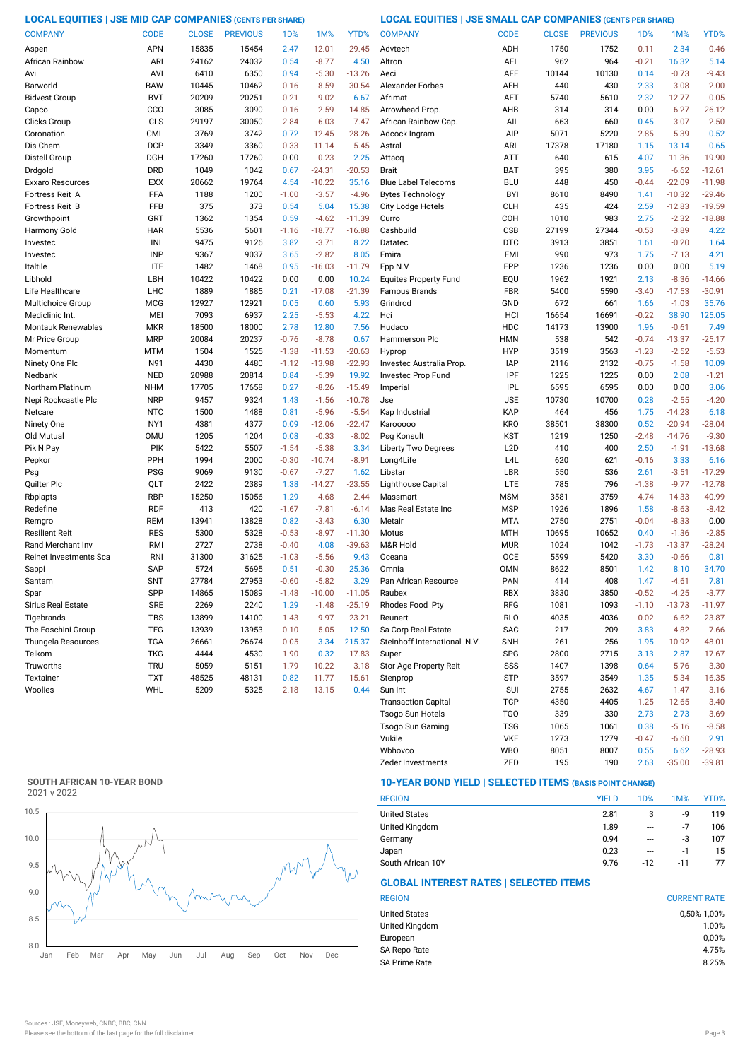**LOCAL EQUITIES | JSE MID CAP COMPANIES (CENTS PER SHARE) LOCAL EQUITIES | JSE SMALL CAP COMPANIES (CENTS PER SHARE)**

| <b>COMPANY</b>            | <b>CODE</b> | <b>CLOSE</b> | <b>PREVIOUS</b> | 1D%     | 1M%      | YTD%     | <b>COMPANY</b>               | <b>CODE</b>      | <b>CLOSE</b> | <b>PREVIOUS</b> | 1D%     | 1M%      | YTD%     |
|---------------------------|-------------|--------------|-----------------|---------|----------|----------|------------------------------|------------------|--------------|-----------------|---------|----------|----------|
| Aspen                     | APN         | 15835        | 15454           | 2.47    | $-12.01$ | $-29.45$ | Advtech                      | ADH              | 1750         | 1752            | $-0.11$ | 2.34     | $-0.46$  |
| African Rainbow           | ARI         | 24162        | 24032           | 0.54    | $-8.77$  | 4.50     | Altron                       | AEL              | 962          | 964             | $-0.21$ | 16.32    | 5.14     |
| Avi                       | AVI         | 6410         | 6350            | 0.94    | $-5.30$  | $-13.26$ | Aeci                         | <b>AFE</b>       | 10144        | 10130           | 0.14    | $-0.73$  | $-9.43$  |
| Barworld                  | <b>BAW</b>  | 10445        | 10462           | $-0.16$ | $-8.59$  | $-30.54$ | <b>Alexander Forbes</b>      | AFH              | 440          | 430             | 2.33    | $-3.08$  | $-2.00$  |
| <b>Bidvest Group</b>      | <b>BVT</b>  | 20209        | 20251           | $-0.21$ | $-9.02$  | 6.67     | Afrimat                      | AFT              | 5740         | 5610            | 2.32    | $-12.77$ | $-0.05$  |
| Capco                     | CCO         | 3085         | 3090            | $-0.16$ | $-2.59$  | $-14.85$ | Arrowhead Prop               | AHB              | 314          | 314             | 0.00    | $-6.27$  | $-26.12$ |
| Clicks Group              | CLS         | 29197        | 30050           | $-2.84$ | $-6.03$  | $-7.47$  | African Rainbow Cap.         | AIL              | 663          | 660             | 0.45    | $-3.07$  | $-2.50$  |
| Coronation                | <b>CML</b>  | 3769         | 3742            | 0.72    | $-12.45$ | $-28.26$ | Adcock Ingram                | AIP              | 5071         | 5220            | $-2.85$ | $-5.39$  | 0.52     |
| Dis-Chem                  | <b>DCP</b>  | 3349         | 3360            | $-0.33$ | $-11.14$ | $-5.45$  | Astral                       | ARL              | 17378        | 17180           | 1.15    | 13.14    | 0.65     |
| Distell Group             | <b>DGH</b>  | 17260        | 17260           | 0.00    | $-0.23$  | 2.25     | Attacq                       | <b>ATT</b>       | 640          | 615             | 4.07    | $-11.36$ | $-19.90$ |
| Drdgold                   | <b>DRD</b>  | 1049         | 1042            | 0.67    | $-24.31$ | $-20.53$ | <b>Brait</b>                 | BAT              | 395          | 380             | 3.95    | $-6.62$  | $-12.61$ |
| Exxaro Resources          | <b>EXX</b>  | 20662        | 19764           | 4.54    | $-10.22$ | 35.16    | <b>Blue Label Telecoms</b>   | <b>BLU</b>       | 448          | 450             | $-0.44$ | $-22.09$ | $-11.98$ |
| Fortress Reit A           | FFA         | 1188         | 1200            | $-1.00$ | $-3.57$  | $-4.96$  | <b>Bytes Technology</b>      | <b>BYI</b>       | 8610         | 8490            | 1.41    | $-10.32$ | $-29.46$ |
| Fortress Reit B           | FFB         | 375          | 373             | 0.54    | 5.04     | 15.38    | City Lodge Hotels            | <b>CLH</b>       | 435          | 424             | 2.59    | $-12.83$ | $-19.59$ |
| Growthpoint               | GRT         | 1362         | 1354            | 0.59    | $-4.62$  | $-11.39$ | Curro                        | COH              | 1010         | 983             | 2.75    | $-2.32$  | $-18.88$ |
| Harmony Gold              | <b>HAR</b>  | 5536         | 5601            | $-1.16$ | $-18.77$ | $-16.88$ | Cashbuild                    | CSB              | 27199        | 27344           | $-0.53$ | $-3.89$  | 4.22     |
| Investec                  | INL         | 9475         | 9126            | 3.82    | $-3.71$  | 8.22     | Datatec                      | <b>DTC</b>       | 3913         | 3851            | 1.61    | $-0.20$  | 1.64     |
| Investec                  | <b>INP</b>  | 9367         | 9037            | 3.65    | $-2.82$  | 8.05     | Emira                        | <b>EMI</b>       | 990          | 973             | 1.75    | $-7.13$  | 4.21     |
| Italtile                  | <b>ITE</b>  | 1482         | 1468            | 0.95    | $-16.03$ | $-11.79$ | Epp N.V                      | EPP              | 1236         | 1236            | 0.00    | 0.00     | 5.19     |
| Libhold                   | LBH         | 10422        | 10422           | 0.00    | 0.00     | 10.24    | <b>Equites Property Fund</b> | EQU              | 1962         | 1921            | 2.13    | $-8.36$  | $-14.66$ |
| Life Healthcare           | LHC         | 1889         | 1885            | 0.21    | $-17.08$ | $-21.39$ | <b>Famous Brands</b>         | <b>FBR</b>       | 5400         | 5590            | $-3.40$ | $-17.53$ | $-30.91$ |
| Multichoice Group         | <b>MCG</b>  | 12927        | 12921           | 0.05    | 0.60     | 5.93     | Grindrod                     | GND              | 672          | 661             | 1.66    | $-1.03$  | 35.76    |
| Mediclinic Int.           | MEI         | 7093         | 6937            | 2.25    | $-5.53$  | 4.22     | Hci                          | HCI              | 16654        | 16691           | $-0.22$ | 38.90    | 125.05   |
| <b>Montauk Renewables</b> | <b>MKR</b>  | 18500        | 18000           | 2.78    | 12.80    | 7.56     | Hudaco                       | HDC              | 14173        | 13900           | 1.96    | $-0.61$  | 7.49     |
| Mr Price Group            | <b>MRP</b>  | 20084        | 20237           | $-0.76$ | $-8.78$  | 0.67     | Hammerson Plc                | <b>HMN</b>       | 538          | 542             | $-0.74$ | $-13.37$ | $-25.17$ |
| Momentum                  | MTM         | 1504         | 1525            | $-1.38$ | $-11.53$ | $-20.63$ | Hyprop                       | <b>HYP</b>       | 3519         | 3563            | $-1.23$ | $-2.52$  | $-5.53$  |
| Ninety One Plc            | N91         | 4430         | 4480            | $-1.12$ | $-13.98$ | $-22.93$ | Investec Australia Prop.     | <b>IAP</b>       | 2116         | 2132            | $-0.75$ | $-1.58$  | 10.09    |
| Nedbank                   | <b>NED</b>  | 20988        | 20814           | 0.84    | $-5.39$  | 19.92    | Investec Prop Fund           | IPF              | 1225         | 1225            | 0.00    | 2.08     | $-1.21$  |
| Northam Platinum          | <b>NHM</b>  | 17705        | 17658           | 0.27    | $-8.26$  | $-15.49$ | Imperial                     | <b>IPL</b>       | 6595         | 6595            | 0.00    | 0.00     | 3.06     |
| Nepi Rockcastle Plc       | <b>NRP</b>  | 9457         | 9324            | 1.43    | $-1.56$  | $-10.78$ | Jse                          | <b>JSE</b>       | 10730        | 10700           | 0.28    | $-2.55$  | $-4.20$  |
| Netcare                   | <b>NTC</b>  | 1500         | 1488            | 0.81    | $-5.96$  | $-5.54$  | Kap Industrial               | KAP              | 464          | 456             | 1.75    | $-14.23$ | 6.18     |
| Ninety One                | NY1         | 4381         | 4377            | 0.09    | $-12.06$ | $-22.47$ | Karooooo                     | <b>KRO</b>       | 38501        | 38300           | 0.52    | $-20.94$ | $-28.04$ |
| Old Mutual                | <b>OMU</b>  | 1205         | 1204            | 0.08    | $-0.33$  | $-8.02$  | Psg Konsult                  | <b>KST</b>       | 1219         | 1250            | $-2.48$ | $-14.76$ | $-9.30$  |
| Pik N Pay                 | PIK         | 5422         | 5507            | $-1.54$ | $-5.38$  | 3.34     | <b>Liberty Two Degrees</b>   | L <sub>2</sub> D | 410          | 400             | 2.50    | $-1.91$  | $-13.68$ |
| Pepkor                    | PPH         | 1994         | 2000            | $-0.30$ | $-10.74$ | $-8.91$  | Long4Life                    | L <sub>4</sub> L | 620          | 621             | $-0.16$ | 3.33     | 6.16     |
| Psg                       | <b>PSG</b>  | 9069         | 9130            | $-0.67$ | $-7.27$  | 1.62     | Libstar                      | LBR              | 550          | 536             | 2.61    | $-3.51$  | $-17.29$ |
| Quilter Plc               | QLT         | 2422         | 2389            | 1.38    | $-14.27$ | $-23.55$ | Lighthouse Capital           | <b>LTE</b>       | 785          | 796             | $-1.38$ | $-9.77$  | $-12.78$ |
| Rbplapts                  | <b>RBP</b>  | 15250        | 15056           | 1.29    | $-4.68$  | $-2.44$  | Massmart                     | <b>MSM</b>       | 3581         | 3759            | $-4.74$ | $-14.33$ | $-40.99$ |
| Redefine                  | <b>RDF</b>  | 413          | 420             | $-1.67$ | $-7.81$  | $-6.14$  | Mas Real Estate Inc          | <b>MSP</b>       | 1926         | 1896            | 1.58    | $-8.63$  | $-8.42$  |
| Remgro                    | <b>REM</b>  | 13941        | 13828           | 0.82    | $-3.43$  | 6.30     | Metair                       | <b>MTA</b>       | 2750         | 2751            | $-0.04$ | $-8.33$  | 0.00     |
| Resilient Reit            | <b>RES</b>  | 5300         | 5328            | $-0.53$ | $-8.97$  | $-11.30$ | Motus                        | <b>MTH</b>       | 10695        | 10652           | 0.40    | $-1.36$  | $-2.85$  |
| Rand Merchant Inv         | RMI         | 2727         | 2738            | $-0.40$ | 4.08     | $-39.63$ | M&R Hold                     | <b>MUR</b>       | 1024         | 1042            | $-1.73$ | $-13.37$ | $-28.24$ |
| Reinet Investments Sca    | <b>RNI</b>  | 31300        | 31625           | $-1.03$ | $-5.56$  | 9.43     | Oceana                       | <b>OCE</b>       | 5599         | 5420            | 3.30    | $-0.66$  | 0.81     |
| Sappi                     | <b>SAP</b>  | 5724         | 5695            | 0.51    | $-0.30$  | 25.36    | Omnia                        | <b>OMN</b>       | 8622         | 8501            | 1.42    | 8.10     | 34.70    |
| Santam                    | <b>SNT</b>  | 27784        | 27953           | $-0.60$ | $-5.82$  | 3.29     | Pan African Resource         | PAN              | 414          | 408             | 1.47    | $-4.61$  | 7.81     |
| Spar                      | SPP         | 14865        | 15089           | $-1.48$ | $-10.00$ | $-11.05$ | Raubex                       | RBX              | 3830         | 3850            | $-0.52$ | $-4.25$  | $-3.77$  |
| Sirius Real Estate        | <b>SRE</b>  | 2269         | 2240            | 1.29    | $-1.48$  | $-25.19$ | Rhodes Food Pty              | RFG              | 1081         | 1093            | $-1.10$ | $-13.73$ | $-11.97$ |
| Tigebrands                | TBS         | 13899        | 14100           | $-1.43$ | $-9.97$  | $-23.21$ | Reunert                      | <b>RLO</b>       | 4035         | 4036            | $-0.02$ | $-6.62$  | $-23.87$ |
| The Foschini Group        | <b>TFG</b>  | 13939        | 13953           | $-0.10$ | $-5.05$  | 12.50    | Sa Corp Real Estate          | <b>SAC</b>       | 217          | 209             | 3.83    | $-4.82$  | $-7.66$  |
| Thungela Resources        | <b>TGA</b>  | 26661        | 26674           | $-0.05$ | 3.34     | 215.37   | Steinhoff International N.V. | <b>SNH</b>       | 261          | 256             | 1.95    | $-10.92$ | $-48.01$ |
| Telkom                    | <b>TKG</b>  | 4444         | 4530            | $-1.90$ | 0.32     | $-17.83$ | Super                        | <b>SPG</b>       | 2800         | 2715            | 3.13    | 2.87     | $-17.67$ |
| Truworths                 | <b>TRU</b>  | 5059         | 5151            | $-1.79$ | $-10.22$ | $-3.18$  | Stor-Age Property Reit       | SSS              | 1407         | 1398            | 0.64    | $-5.76$  | $-3.30$  |
| Textainer                 | <b>TXT</b>  | 48525        | 48131           | 0.82    | $-11.77$ | $-15.61$ | Stenprop                     | <b>STP</b>       | 3597         | 3549            | 1.35    | $-5.34$  | $-16.35$ |
| Woolies                   | WHL         | 5209         | 5325            | $-2.18$ | $-13.15$ | 0.44     | Sun Int                      | SUI              | 2755         | 2632            | 4.67    | $-1.47$  | $-3.16$  |
|                           |             |              |                 |         |          |          | <b>Transaction Capital</b>   | <b>TCP</b>       | 4350         | 4405            | $-1.25$ | $-12.65$ | $-3.40$  |
|                           |             |              |                 |         |          |          | Tsogo Sun Hotels             | TG <sub>O</sub>  | 339          | 330             | 2.73    | 2.73     | $-3.69$  |
|                           |             |              |                 |         |          |          |                              |                  |              |                 |         |          |          |

# **SOUTH AFRICAN 10-YEAR BOND**



# **10-YEAR BOND YIELD | SELECTED ITEMS (BASIS POINT CHANGE)**

| <b>REGION</b>        | <b>YIELD</b> | 1D%   | 1M%   | YTD% |
|----------------------|--------------|-------|-------|------|
| <b>United States</b> | 2.81         | 3     | -9    | 119  |
| United Kingdom       | 1.89         | ---   | $-7$  | 106  |
| Germany              | 0.94         | ---   | -3    | 107  |
| Japan                | 0.23         | ---   | $-1$  | 15   |
| South African 10Y    | 9.76         | $-12$ | $-11$ | 77   |

Wbhovco WBO 8051 8007 0.55 6.62 -28.93 Vukile VKE 1273 1279 -0.47 -6.60

Zeder Investments 2ED 195 190 2.63 -35.00 -39.81

Tsogo Sun Gaming TSG 1065 1061 0.38 -5.16 -8.58

# **GLOBAL INTEREST RATES | SELECTED ITEMS**

| <b>CURRENT RATE</b> |
|---------------------|
| 0,50%-1,00%         |
| 1.00%               |
| 0,00%               |
| 4.75%               |
| 8.25%               |
|                     |

2.91<br>28.93-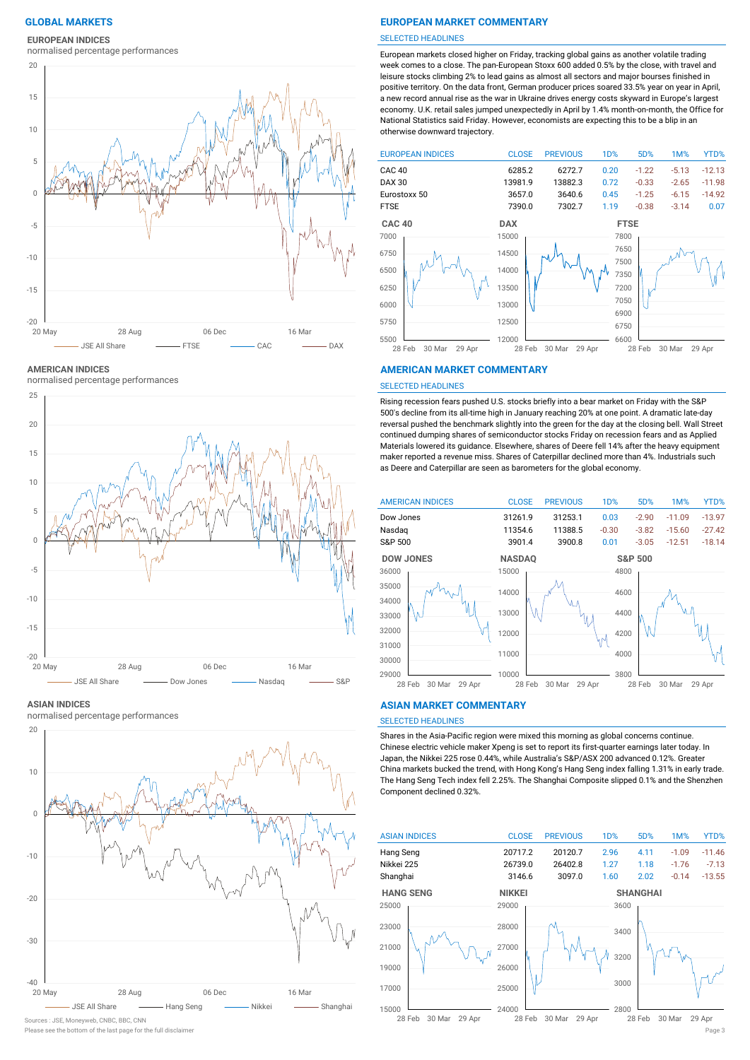### **EUROPEAN INDICES**

normalised percentage performances



**AMERICAN INDICES**

normalised percentage performances



### **ASIAN INDICES**

normalised percentage performances



Sources : JSE, Moneyweb, CNBC, BBC, CNN

### **GLOBAL MARKETS EUROPEAN MARKET COMMENTARY**

### SELECTED HEADLINES

European markets closed higher on Friday, tracking global gains as another volatile trading week comes to a close. The pan-European Stoxx 600 added 0.5% by the close, with travel and leisure stocks climbing 2% to lead gains as almost all sectors and major bourses finished in positive territory. On the data front, German producer prices soared 33.5% year on year in April, a new record annual rise as the war in Ukraine drives energy costs skyward in Europe's largest economy. U.K. retail sales jumped unexpectedly in April by 1.4% month-on-month, the Office for National Statistics said Friday. However, economists are expecting this to be a blip in an otherwise downward trajectory.



### **AMERICAN MARKET COMMENTARY**

### SELECTED HEADLINES

Rising recession fears pushed U.S. stocks briefly into a bear market on Friday with the S&P 500′s decline from its all-time high in January reaching 20% at one point. A dramatic late-day reversal pushed the benchmark slightly into the green for the day at the closing bell. Wall Street continued dumping shares of semiconductor stocks Friday on recession fears and as Applied Materials lowered its guidance. Elsewhere, shares of Deere fell 14% after the heavy equipment maker reported a revenue miss. Shares of Caterpillar declined more than 4%. Industrials such as Deere and Caterpillar are seen as barometers for the global economy.



### **ASIAN MARKET COMMENTARY**

# SELECTED HEADLINES

Shares in the Asia-Pacific region were mixed this morning as global concerns continue. Chinese electric vehicle maker Xpeng is set to report its first-quarter earnings later today. In Japan, the Nikkei 225 rose 0.44%, while Australia's S&P/ASX 200 advanced 0.12%. Greater China markets bucked the trend, with Hong Kong's Hang Seng index falling 1.31% in early trade. The Hang Seng Tech index fell 2.25%. The Shanghai Composite slipped 0.1% and the Shenzhen Component declined 0.32%.



Please see the bottom of the last page for the full disclaimer Page 3